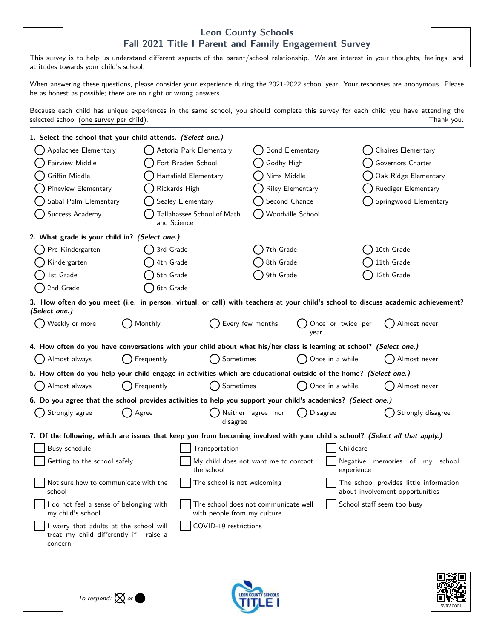## **Leon County Schools Fall 2021 Title I Parent and Family Engagement Survey**

This survey is to help us understand different aspects of the parent/school relationship. We are interest in your thoughts, feelings, and attitudes towards your child's school.

When answering these questions, please consider your experience during the 2021-2022 school year. Your responses are anonymous. Please be as honest as possible; there are no right or wrong answers.

Because each child has unique experiences in the same school, you should complete this survey for each child you have attending the selected school (one survey per child). Thank you.

| 1. Select the school that your child attends. <i>(Select one.)</i>                                                                                 |                         |                                                                     |                        |                           |                                                                           |                            |  |
|----------------------------------------------------------------------------------------------------------------------------------------------------|-------------------------|---------------------------------------------------------------------|------------------------|---------------------------|---------------------------------------------------------------------------|----------------------------|--|
| Apalachee Elementary                                                                                                                               | Astoria Park Elementary |                                                                     | <b>Bond Elementary</b> |                           |                                                                           | Chaires Elementary         |  |
| Fairview Middle                                                                                                                                    |                         | Fort Braden School                                                  |                        | Godby High                |                                                                           | Governors Charter          |  |
| Griffin Middle                                                                                                                                     |                         | Hartsfield Elementary                                               |                        | Nims Middle               |                                                                           | Oak Ridge Elementary       |  |
| Pineview Elementary                                                                                                                                |                         | Rickards High                                                       |                        | Riley Elementary          |                                                                           | Ruediger Elementary        |  |
| Sabal Palm Elementary                                                                                                                              |                         | Sealey Elementary                                                   |                        | Second Chance             |                                                                           | Springwood Elementary      |  |
| Success Academy                                                                                                                                    |                         | Tallahassee School of Math<br>and Science                           |                        | Woodville School          |                                                                           |                            |  |
| 2. What grade is your child in? (Select one.)                                                                                                      |                         |                                                                     |                        |                           |                                                                           |                            |  |
| Pre-Kindergarten                                                                                                                                   | 3rd Grade               |                                                                     | 7th Grade              |                           |                                                                           | 10th Grade                 |  |
| Kindergarten                                                                                                                                       | 4th Grade               |                                                                     | 8th Grade              |                           |                                                                           | 11th Grade                 |  |
| 1st Grade                                                                                                                                          | 5th Grade               |                                                                     | 9th Grade              |                           |                                                                           | 12th Grade                 |  |
| 2nd Grade                                                                                                                                          | 6th Grade               |                                                                     |                        |                           |                                                                           |                            |  |
| 3. How often do you meet (i.e. in person, virtual, or call) with teachers at your child's school to discuss academic achievement?<br>(Select one.) |                         |                                                                     |                        |                           |                                                                           |                            |  |
| Weekly or more                                                                                                                                     | Monthly                 |                                                                     | Every few months       | Once or twice per<br>vear |                                                                           | Almost never               |  |
| 4. How often do you have conversations with your child about what his/her class is learning at school? (Select one.)                               |                         |                                                                     |                        |                           |                                                                           |                            |  |
| Almost always                                                                                                                                      | Frequently              | Sometimes                                                           |                        | Once in a while           |                                                                           | Almost never               |  |
| 5. How often do you help your child engage in activities which are educational outside of the home? (Select one.)                                  |                         |                                                                     |                        |                           |                                                                           |                            |  |
| Almost always                                                                                                                                      | Frequently              | Sometimes                                                           |                        | Once in a while           |                                                                           | Almost never               |  |
| 6. Do you agree that the school provides activities to help you support your child's academics? (Select one.)                                      |                         |                                                                     |                        |                           |                                                                           |                            |  |
| Strongly agree                                                                                                                                     | Agree                   | disagree                                                            | Neither agree nor      | Disagree                  |                                                                           | Strongly disagree          |  |
| 7. Of the following, which are issues that keep you from becoming involved with your child's school? (Select all that apply.)                      |                         |                                                                     |                        |                           |                                                                           |                            |  |
| Busy schedule                                                                                                                                      |                         | Transportation                                                      |                        |                           | Childcare                                                                 |                            |  |
| Getting to the school safely                                                                                                                       |                         | My child does not want me to contact<br>the school                  |                        |                           | Negative<br>memories of my school<br>experience                           |                            |  |
| Not sure how to communicate with the<br>school                                                                                                     |                         | The school is not welcoming                                         |                        |                           | The school provides little information<br>about involvement opportunities |                            |  |
| I do not feel a sense of belonging with<br>my child's school                                                                                       |                         | The school does not communicate well<br>with people from my culture |                        |                           |                                                                           | School staff seem too busy |  |
| I worry that adults at the school will<br>treat my child differently if I raise a<br>concern                                                       |                         | COVID-19 restrictions                                               |                        |                           |                                                                           |                            |  |